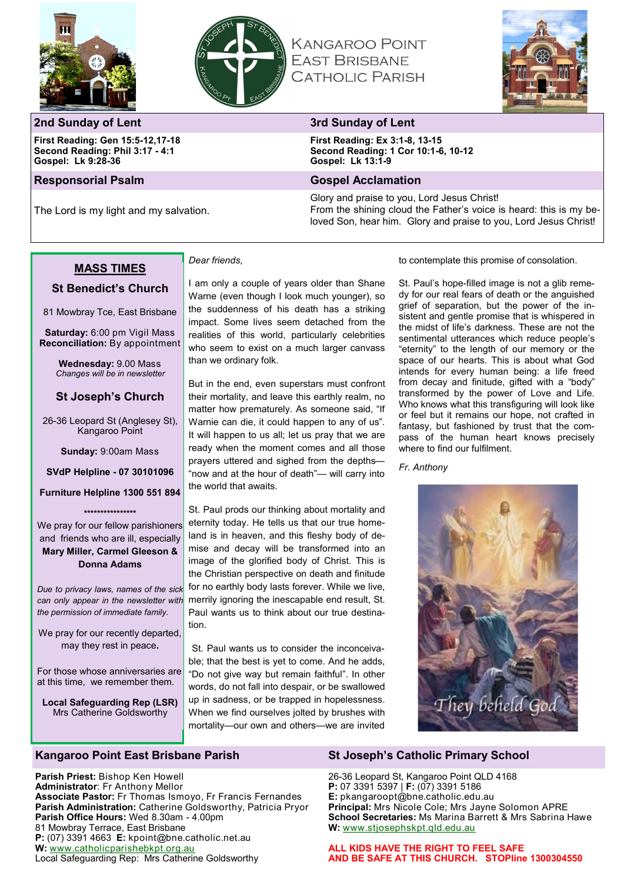



# **KANGAROO POINT EAST BRISBANE CATHOLIC PARISH**



### **2nd Sunday of Lent 3rd Sunday of Lent**

**First Reading: Gen 15:5-12,17-18 Second Reading: Phil 3:17 - 4:1 Gospel: Lk 9:28-36**

#### **Responsorial Psalm Gospel Acclamation**

The Lord is my light and my salvation.

**First Reading: Ex 3:1-8, 13-15 Second Reading: 1 Cor 10:1-6, 10-12 Gospel: Lk 13:1-9**

Glory and praise to you, Lord Jesus Christ! From the shining cloud the Father's voice is heard: this is my beloved Son, hear him. Glory and praise to you, Lord Jesus Christ!

#### **MASS TIMES**

#### **St Benedict's Church**

81 Mowbray Tce, East Brisbane

**Saturday:** 6:00 pm Vigil Mass **Reconciliation:** By appointment

> **Wednesday:** 9.00 Mass *Changes will be in newsletter*

### **St Joseph's Church**

26-36 Leopard St (Anglesey St), Kangaroo Point

**Sunday:** 9:00am Mass

**SVdP Helpline - 07 30101096** 

**Furniture Helpline 1300 551 894 \*\*\*\*\*\*\*\*\*\*\*\*\*\*\*\***

We pray for our fellow parishioners and friends who are ill, especially **Mary Miller, Carmel Gleeson & Donna Adams**

*Due to privacy laws, names of the sick can only appear in the newsletter with the permission of immediate family.*

We pray for our recently departed, may they rest in peace**.**

For those whose anniversaries are at this time, we remember them.

**Local Safeguarding Rep (LSR)** Mrs Catherine Goldsworthy

**Parish Priest:** Bishop Ken Howell **Administrator**: Fr Anthony Mellor

81 Mowbray Terrace, East Brisbane

**W:** [www.catholicparishebkpt.org.au](http://www.catholicparishebkpt.org.au)

**Parish Office Hours:** Wed 8.30am - 4.00pm

**P:** (07) 3391 4663 **E:** kpoint@bne.catholic.net.au

Local Safeguarding Rep: Mrs Catherine Goldsworthy

**Associate Pastor:** Fr Thomas Ismoyo, Fr Francis Fernandes **Parish Administration:** Catherine Goldsworthy, Patricia Pryor

# *Dear friends*,

I am only a couple of years older than Shane Warne (even though I look much younger), so the suddenness of his death has a striking impact. Some lives seem detached from the realities of this world, particularly celebrities who seem to exist on a much larger canvass than we ordinary folk.

But in the end, even superstars must confront their mortality, and leave this earthly realm, no matter how prematurely. As someone said, "If Warnie can die, it could happen to any of us". It will happen to us all; let us pray that we are ready when the moment comes and all those prayers uttered and sighed from the depths— "now and at the hour of death"— will carry into the world that awaits.

St. Paul prods our thinking about mortality and eternity today. He tells us that our true homeland is in heaven, and this fleshy body of demise and decay will be transformed into an image of the glorified body of Christ. This is the Christian perspective on death and finitude for no earthly body lasts forever. While we live, merrily ignoring the inescapable end result, St. Paul wants us to think about our true destination.

St. Paul wants us to consider the inconceivable; that the best is yet to come. And he adds, "Do not give way but remain faithful". In other words, do not fall into despair, or be swallowed up in sadness, or be trapped in hopelessness. When we find ourselves jolted by brushes with mortality—our own and others—we are invited

to contemplate this promise of consolation.

St. Paul's hope-filled image is not a glib remedy for our real fears of death or the anguished grief of separation, but the power of the insistent and gentle promise that is whispered in the midst of life's darkness. These are not the sentimental utterances which reduce people's "eternity" to the length of our memory or the space of our hearts. This is about what God intends for every human being: a life freed from decay and finitude, gifted with a "body" transformed by the power of Love and Life. Who knows what this transfiguring will look like or feel but it remains our hope, not crafted in fantasy, but fashioned by trust that the compass of the human heart knows precisely where to find our fulfilment.

*Fr. Anthony*



# **Kangaroo Point East Brisbane Parish St Joseph's Catholic Primary School**

26-36 Leopard St, Kangaroo Point QLD 4168 **P:** 07 3391 5397 | **F:** (07) 3391 5186 **E:** pkangaroopt@bne.catholic.edu.au **Principal:** Mrs Nicole Cole; Mrs Jayne Solomon APRE **School Secretaries:** Ms Marina Barrett & Mrs Sabrina Hawe **W:** [www.stjosephskpt.qld.edu.au](http://www.stjosephskpt.qld.edu.au)

**ALL KIDS HAVE THE RIGHT TO FEEL SAFE AND BE SAFE AT THIS CHURCH. STOPline 1300304550**